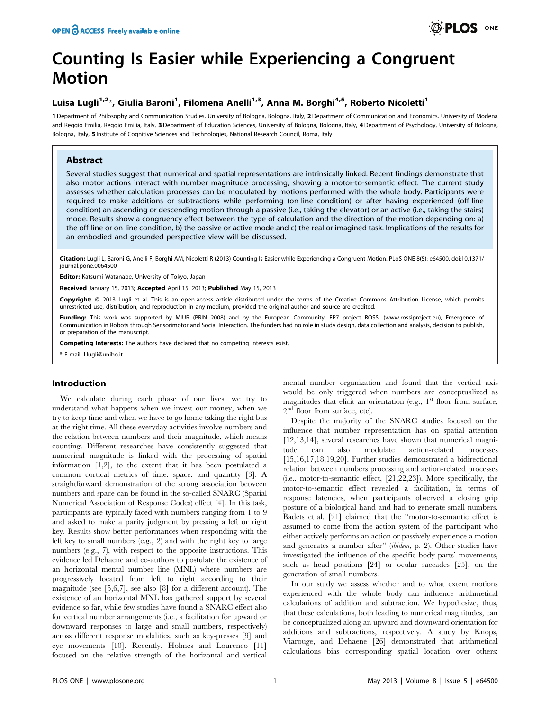# Counting Is Easier while Experiencing a Congruent Motion

# Luisa Lugli<sup>1,2</sup>\*, Giulia Baroni<sup>1</sup>, Filomena Anelli<sup>1,3</sup>, Anna M. Borghi<sup>4,5</sup>, Roberto Nicoletti<sup>1</sup>

1 Department of Philosophy and Communication Studies, University of Bologna, Bologna, Italy, 2 Department of Communication and Economics, University of Modena and Reggio Emilia, Reggio Emilia, Italy, 3 Department of Education Sciences, University of Bologna, Italy, 4 Department of Psychology, University of Bologna, Bologna, Italy, 5 Institute of Cognitive Sciences and Technologies, National Research Council, Roma, Italy

# Abstract

Several studies suggest that numerical and spatial representations are intrinsically linked. Recent findings demonstrate that also motor actions interact with number magnitude processing, showing a motor-to-semantic effect. The current study assesses whether calculation processes can be modulated by motions performed with the whole body. Participants were required to make additions or subtractions while performing (on-line condition) or after having experienced (off-line condition) an ascending or descending motion through a passive (i.e., taking the elevator) or an active (i.e., taking the stairs) mode. Results show a congruency effect between the type of calculation and the direction of the motion depending on: a) the off-line or on-line condition, b) the passive or active mode and c) the real or imagined task. Implications of the results for an embodied and grounded perspective view will be discussed.

Citation: Lugli L, Baroni G, Anelli F, Borghi AM, Nicoletti R (2013) Counting Is Easier while Experiencing a Congruent Motion. PLoS ONE 8(5): e64500. doi:10.1371/ journal.pone.0064500

Editor: Katsumi Watanabe, University of Tokyo, Japan

Received January 15, 2013; Accepted April 15, 2013; Published May 15, 2013

Copyright: © 2013 Lugli et al. This is an open-access article distributed under the terms of the Creative Commons Attribution License, which permits unrestricted use, distribution, and reproduction in any medium, provided the original author and source are credited.

Funding: This work was supported by MIUR (PRIN 2008) and by the European Community, FP7 project ROSSI (www.rossiproject.eu), Emergence of Communication in Robots through Sensorimotor and Social Interaction. The funders had no role in study design, data collection and analysis, decision to publish, or preparation of the manuscript.

Competing Interests: The authors have declared that no competing interests exist.

\* E-mail: l.lugli@unibo.it

# Introduction

We calculate during each phase of our lives: we try to understand what happens when we invest our money, when we try to keep time and when we have to go home taking the right bus at the right time. All these everyday activities involve numbers and the relation between numbers and their magnitude, which means counting. Different researches have consistently suggested that numerical magnitude is linked with the processing of spatial information [1,2], to the extent that it has been postulated a common cortical metrics of time, space, and quantity [3]. A straightforward demonstration of the strong association between numbers and space can be found in the so-called SNARC (Spatial Numerical Association of Response Codes) effect [4]. In this task, participants are typically faced with numbers ranging from 1 to 9 and asked to make a parity judgment by pressing a left or right key. Results show better performances when responding with the left key to small numbers (e.g., 2) and with the right key to large numbers (e.g., 7), with respect to the opposite instructions. This evidence led Dehaene and co-authors to postulate the existence of an horizontal mental number line (MNL) where numbers are progressively located from left to right according to their magnitude (see [5,6,7], see also [8] for a different account). The existence of an horizontal MNL has gathered support by several evidence so far, while few studies have found a SNARC effect also for vertical number arrangements (i.e., a facilitation for upward or downward responses to large and small numbers, respectively) across different response modalities, such as key-presses [9] and eye movements [10]. Recently, Holmes and Lourenco [11] focused on the relative strength of the horizontal and vertical

mental number organization and found that the vertical axis would be only triggered when numbers are conceptualized as magnitudes that elicit an orientation (e.g.,  $1<sup>st</sup>$  floor from surface,  $2^{\rm nd}$  floor from surface, etc).

Despite the majority of the SNARC studies focused on the influence that number representation has on spatial attention [12,13,14], several researches have shown that numerical magnitude can also modulate action-related processes [15,16,17,18,19,20]. Further studies demonstrated a bidirectional relation between numbers processing and action-related processes (i.e., motor-to-semantic effect, [21,22,23]). More specifically, the motor-to-semantic effect revealed a facilitation, in terms of response latencies, when participants observed a closing grip posture of a biological hand and had to generate small numbers. Badets et al. [21] claimed that the ''motor-to-semantic effect is assumed to come from the action system of the participant who either actively performs an action or passively experience a motion and generates a number after'' (ibidem, p. 2). Other studies have investigated the influence of the specific body parts' movements, such as head positions [24] or ocular saccades [25], on the generation of small numbers.

In our study we assess whether and to what extent motions experienced with the whole body can influence arithmetical calculations of addition and subtraction. We hypothesize, thus, that these calculations, both leading to numerical magnitudes, can be conceptualized along an upward and downward orientation for additions and subtractions, respectively. A study by Knops, Viarouge, and Dehaene [26] demonstrated that arithmetical calculations bias corresponding spatial location over others: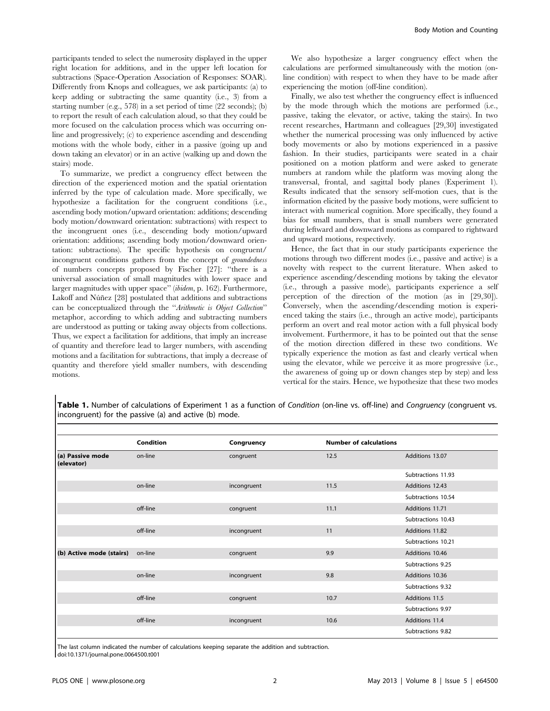participants tended to select the numerosity displayed in the upper right location for additions, and in the upper left location for subtractions (Space-Operation Association of Responses: SOAR). Differently from Knops and colleagues, we ask participants: (a) to keep adding or subtracting the same quantity (i.e., 3) from a starting number (e.g., 578) in a set period of time (22 seconds); (b) to report the result of each calculation aloud, so that they could be more focused on the calculation process which was occurring online and progressively; (c) to experience ascending and descending motions with the whole body, either in a passive (going up and down taking an elevator) or in an active (walking up and down the stairs) mode.

To summarize, we predict a congruency effect between the direction of the experienced motion and the spatial orientation inferred by the type of calculation made. More specifically, we hypothesize a facilitation for the congruent conditions (i.e., ascending body motion/upward orientation: additions; descending body motion/downward orientation: subtractions) with respect to the incongruent ones (i.e., descending body motion/upward orientation: additions; ascending body motion/downward orientation: subtractions). The specific hypothesis on congruent/ incongruent conditions gathers from the concept of groundedness of numbers concepts proposed by Fischer [27]: ''there is a universal association of small magnitudes with lower space and larger magnitudes with upper space'' (ibidem, p. 162). Furthermore, Lakoff and Núñez [28] postulated that additions and subtractions can be conceptualized through the ''Arithmetic is Object Collection'' metaphor, according to which adding and subtracting numbers are understood as putting or taking away objects from collections. Thus, we expect a facilitation for additions, that imply an increase of quantity and therefore lead to larger numbers, with ascending motions and a facilitation for subtractions, that imply a decrease of quantity and therefore yield smaller numbers, with descending motions.

We also hypothesize a larger congruency effect when the calculations are performed simultaneously with the motion (online condition) with respect to when they have to be made after experiencing the motion (off-line condition).

Finally, we also test whether the congruency effect is influenced by the mode through which the motions are performed (i.e., passive, taking the elevator, or active, taking the stairs). In two recent researches, Hartmann and colleagues [29,30] investigated whether the numerical processing was only influenced by active body movements or also by motions experienced in a passive fashion. In their studies, participants were seated in a chair positioned on a motion platform and were asked to generate numbers at random while the platform was moving along the transversal, frontal, and sagittal body planes (Experiment 1). Results indicated that the sensory self-motion cues, that is the information elicited by the passive body motions, were sufficient to interact with numerical cognition. More specifically, they found a bias for small numbers, that is small numbers were generated during leftward and downward motions as compared to rightward and upward motions, respectively.

Hence, the fact that in our study participants experience the motions through two different modes (i.e., passive and active) is a novelty with respect to the current literature. When asked to experience ascending/descending motions by taking the elevator (i.e., through a passive mode), participants experience a self perception of the direction of the motion (as in [29,30]). Conversely, when the ascending/descending motion is experienced taking the stairs (i.e., through an active mode), participants perform an overt and real motor action with a full physical body involvement. Furthermore, it has to be pointed out that the sense of the motion direction differed in these two conditions. We typically experience the motion as fast and clearly vertical when using the elevator, while we perceive it as more progressive (i.e., the awareness of going up or down changes step by step) and less vertical for the stairs. Hence, we hypothesize that these two modes

Table 1. Number of calculations of Experiment 1 as a function of Condition (on-line vs. off-line) and Congruency (congruent vs. incongruent) for the passive (a) and active (b) mode.

| (a) Passive mode<br>(elevator) | <b>Condition</b><br>on-line | Congruency<br>congruent | <b>Number of calculations</b> |                    |
|--------------------------------|-----------------------------|-------------------------|-------------------------------|--------------------|
|                                |                             |                         | 12.5                          | Additions 13.07    |
|                                |                             |                         |                               | Subtractions 11.93 |
|                                | on-line                     | incongruent             | 11.5                          | Additions 12.43    |
|                                |                             |                         |                               | Subtractions 10.54 |
|                                | off-line                    | congruent               | 11.1                          | Additions 11.71    |
|                                |                             |                         |                               | Subtractions 10.43 |
|                                | off-line                    | incongruent             | 11                            | Additions 11.82    |
|                                |                             |                         |                               | Subtractions 10.21 |
| (b) Active mode (stairs)       | on-line                     | congruent               | 9.9                           | Additions 10.46    |
|                                |                             |                         |                               | Subtractions 9.25  |
|                                | on-line                     | incongruent             | 9.8                           | Additions 10.36    |
|                                |                             |                         |                               | Subtractions 9.32  |
|                                | off-line                    | congruent               | 10.7                          | Additions 11.5     |
|                                |                             |                         |                               | Subtractions 9.97  |
|                                | off-line                    | incongruent             | 10.6                          | Additions 11.4     |
|                                |                             |                         |                               | Subtractions 9.82  |
|                                |                             |                         |                               |                    |

The last column indicated the number of calculations keeping separate the addition and subtraction. doi:10.1371/journal.pone.0064500.t001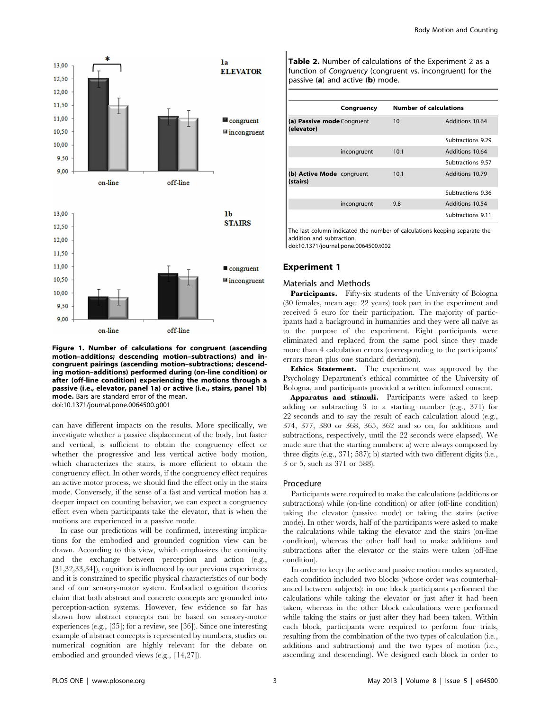

Figure 1. Number of calculations for congruent (ascending motion–additions; descending motion–subtractions) and incongruent pairings (ascending motion–subtractions; descending motion–additions) performed during (on-line condition) or after (off-line condition) experiencing the motions through a passive (i.e., elevator, panel 1a) or active (i.e., stairs, panel 1b) mode. Bars are standard error of the mean. doi:10.1371/journal.pone.0064500.g001

can have different impacts on the results. More specifically, we investigate whether a passive displacement of the body, but faster and vertical, is sufficient to obtain the congruency effect or whether the progressive and less vertical active body motion, which characterizes the stairs, is more efficient to obtain the congruency effect. In other words, if the congruency effect requires an active motor process, we should find the effect only in the stairs mode. Conversely, if the sense of a fast and vertical motion has a deeper impact on counting behavior, we can expect a congruency effect even when participants take the elevator, that is when the motions are experienced in a passive mode.

In case our predictions will be confirmed, interesting implications for the embodied and grounded cognition view can be drawn. According to this view, which emphasizes the continuity and the exchange between perception and action (e.g., [31,32,33,34]), cognition is influenced by our previous experiences and it is constrained to specific physical characteristics of our body and of our sensory-motor system. Embodied cognition theories claim that both abstract and concrete concepts are grounded into perception-action systems. However, few evidence so far has shown how abstract concepts can be based on sensory-motor experiences (e.g., [35]; for a review, see [36]). Since one interesting example of abstract concepts is represented by numbers, studies on numerical cognition are highly relevant for the debate on embodied and grounded views (e.g., [14,27]).

Table 2. Number of calculations of the Experiment 2 as a function of Congruency (congruent vs. incongruent) for the passive (a) and active (b) mode.

|                                          | Congruency  | <b>Number of calculations</b> |                   |
|------------------------------------------|-------------|-------------------------------|-------------------|
| (a) Passive mode Congruent<br>(elevator) |             | 10                            | Additions 10.64   |
|                                          |             |                               | Subtractions 9.29 |
|                                          | incongruent | 10.1                          | Additions 10.64   |
|                                          |             |                               | Subtractions 9.57 |
| (b) Active Mode congruent<br>(stairs)    |             | 10.1                          | Additions 10.79   |
|                                          |             |                               | Subtractions 9.36 |
|                                          | incongruent | 9.8                           | Additions 10.54   |
|                                          |             |                               | Subtractions 9.11 |
|                                          |             |                               |                   |

The last column indicated the number of calculations keeping separate the addition and subtraction.

doi:10.1371/journal.pone.0064500.t002

#### Experiment 1

#### Materials and Methods

Participants. Fifty-six students of the University of Bologna (30 females, mean age: 22 years) took part in the experiment and received 5 euro for their participation. The majority of participants had a background in humanities and they were all naïve as to the purpose of the experiment. Eight participants were eliminated and replaced from the same pool since they made more than 4 calculation errors (corresponding to the participants' errors mean plus one standard deviation).

Ethics Statement. The experiment was approved by the Psychology Department's ethical committee of the University of Bologna, and participants provided a written informed consent.

Apparatus and stimuli. Participants were asked to keep adding or subtracting 3 to a starting number (e.g., 371) for 22 seconds and to say the result of each calculation aloud (e.g., 374, 377, 380 or 368, 365, 362 and so on, for additions and subtractions, respectively, until the 22 seconds were elapsed). We made sure that the starting numbers: a) were always composed by three digits (e.g., 371; 587); b) started with two different digits (i.e., 3 or 5, such as 371 or 588).

#### Procedure

Participants were required to make the calculations (additions or subtractions) while (on-line condition) or after (off-line condition) taking the elevator (passive mode) or taking the stairs (active mode). In other words, half of the participants were asked to make the calculations while taking the elevator and the stairs (on-line condition), whereas the other half had to make additions and subtractions after the elevator or the stairs were taken (off-line condition).

In order to keep the active and passive motion modes separated, each condition included two blocks (whose order was counterbalanced between subjects): in one block participants performed the calculations while taking the elevator or just after it had been taken, whereas in the other block calculations were performed while taking the stairs or just after they had been taken. Within each block, participants were required to perform four trials, resulting from the combination of the two types of calculation (i.e., additions and subtractions) and the two types of motion (i.e., ascending and descending). We designed each block in order to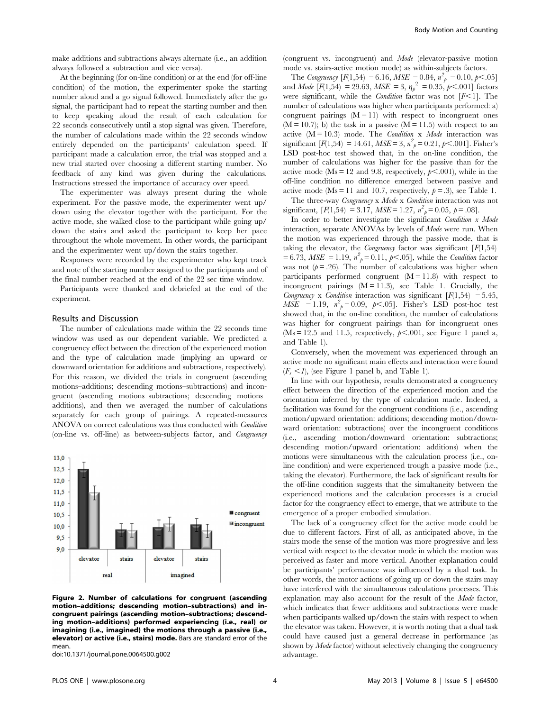make additions and subtractions always alternate (i.e., an addition always followed a subtraction and vice versa).

At the beginning (for on-line condition) or at the end (for off-line condition) of the motion, the experimenter spoke the starting number aloud and a go signal followed. Immediately after the go signal, the participant had to repeat the starting number and then to keep speaking aloud the result of each calculation for 22 seconds consecutively until a stop signal was given. Therefore, the number of calculations made within the 22 seconds window entirely depended on the participants' calculation speed. If participant made a calculation error, the trial was stopped and a new trial started over choosing a different starting number. No feedback of any kind was given during the calculations. Instructions stressed the importance of accuracy over speed.

The experimenter was always present during the whole experiment. For the passive mode, the experimenter went up/ down using the elevator together with the participant. For the active mode, she walked close to the participant while going up/ down the stairs and asked the participant to keep her pace throughout the whole movement. In other words, the participant and the experimenter went up/down the stairs together.

Responses were recorded by the experimenter who kept track and note of the starting number assigned to the participants and of the final number reached at the end of the 22 sec time window.

Participants were thanked and debriefed at the end of the experiment.

#### Results and Discussion

The number of calculations made within the 22 seconds time window was used as our dependent variable. We predicted a congruency effect between the direction of the experienced motion and the type of calculation made (implying an upward or downward orientation for additions and subtractions, respectively). For this reason, we divided the trials in congruent (ascending motions–additions; descending motions–subtractions) and incongruent (ascending motions–subtractions; descending motions– additions), and then we averaged the number of calculations separately for each group of pairings. A repeated-measures ANOVA on correct calculations was thus conducted with Condition (on-line vs. off-line) as between-subjects factor, and Congruency



Figure 2. Number of calculations for congruent (ascending motion–additions; descending motion–subtractions) and incongruent pairings (ascending motion–subtractions; descending motion–additions) performed experiencing (i.e., real) or imagining (i.e., imagined) the motions through a passive (i.e., elevator) or active (i.e., stairs) mode. Bars are standard error of the mean.

doi:10.1371/journal.pone.0064500.g002

(congruent vs. incongruent) and Mode (elevator-passive motion mode vs. stairs-active motion mode) as within-subjects factors.

The Congruency  $[F(1,54) = 6.16, MSE = 0.84, n^2_{p} = 0.10, p < .05]$ and *Mode*  $[F(1, 54) = 29.63, MSE = 3, \eta_p^2 = 0.35, p < .001]$  factors were significant, while the *Condition* factor was not  $[F<1]$ . The number of calculations was higher when participants performed: a) congruent pairings  $(M = 11)$  with respect to incongruent ones  $(M = 10.7)$ ; b) the task in a passive  $(M = 11.5)$  with respect to an active  $(M = 10.3)$  mode. The *Condition* x *Mode* interaction was significant  $[F(1,54) = 14.61, MSE = 3, n^2{}_{p} = 0.21, p < .001]$ . Fisher's LSD post-hoc test showed that, in the on-line condition, the number of calculations was higher for the passive than for the active mode (Ms = 12 and 9.8, respectively,  $p<.001$ ), while in the off-line condition no difference emerged between passive and active mode (Ms = 11 and 10.7, respectively,  $p = .3$ ), see Table 1.

The three-way *Congruency* x *Mode* x *Condition* interaction was not significant,  $[F(1, 54) = 3.17, MSE = 1.27, n<sup>2</sup><sub>p</sub> = 0.05, p = .08].$ 

In order to better investigate the significant Condition x Mode interaction, separate ANOVAs by levels of Mode were run. When the motion was experienced through the passive mode, that is taking the elevator, the *Congruency* factor was significant  $[F(1,54)]$  $= 6.73$ , MSE = 1.19,  $n^2$ <sub>p</sub> = 0.11, p < .05], while the *Condition* factor was not  $(p=.26)$ . The number of calculations was higher when participants performed congruent  $(M = 11.8)$  with respect to incongruent pairings  $(M = 11.3)$ , see Table 1. Crucially, the Congruency x Condition interaction was significant  $[F(1,54) = 5.45,$  $MSE = 1.19$ ,  $n_p^2 = 0.09$ ,  $p < .05$ ]. Fisher's LSD post-hoc test showed that, in the on-line condition, the number of calculations was higher for congruent pairings than for incongruent ones ( $Ms = 12.5$  and 11.5, respectively,  $p \le .001$ , see Figure 1 panel a, and Table 1).

Conversely, when the movement was experienced through an active mode no significant main effects and interaction were found  $(F_s \leq I)$ , (see Figure 1 panel b, and Table 1).

In line with our hypothesis, results demonstrated a congruency effect between the direction of the experienced motion and the orientation inferred by the type of calculation made. Indeed, a facilitation was found for the congruent conditions (i.e., ascending motion/upward orientation: additions; descending motion/downward orientation: subtractions) over the incongruent conditions (i.e., ascending motion/downward orientation: subtractions; descending motion/upward orientation: additions) when the motions were simultaneous with the calculation process (i.e., online condition) and were experienced trough a passive mode (i.e., taking the elevator). Furthermore, the lack of significant results for the off-line condition suggests that the simultaneity between the experienced motions and the calculation processes is a crucial factor for the congruency effect to emerge, that we attribute to the emergence of a proper embodied simulation.

The lack of a congruency effect for the active mode could be due to different factors. First of all, as anticipated above, in the stairs mode the sense of the motion was more progressive and less vertical with respect to the elevator mode in which the motion was perceived as faster and more vertical. Another explanation could be participants' performance was influenced by a dual task. In other words, the motor actions of going up or down the stairs may have interfered with the simultaneous calculations processes. This explanation may also account for the result of the Mode factor, which indicates that fewer additions and subtractions were made when participants walked up/down the stairs with respect to when the elevator was taken. However, it is worth noting that a dual task could have caused just a general decrease in performance (as shown by Mode factor) without selectively changing the congruency advantage.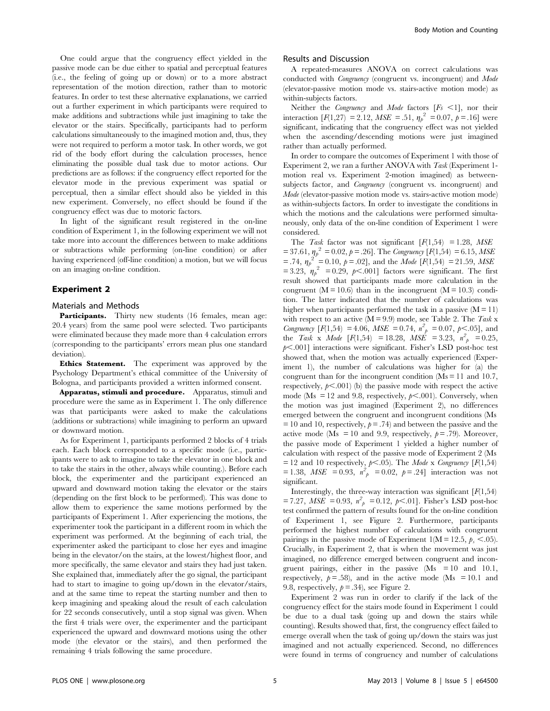One could argue that the congruency effect yielded in the passive mode can be due either to spatial and perceptual features (i.e., the feeling of going up or down) or to a more abstract representation of the motion direction, rather than to motoric features. In order to test these alternative explanations, we carried out a further experiment in which participants were required to make additions and subtractions while just imagining to take the elevator or the stairs. Specifically, participants had to perform calculations simultaneously to the imagined motion and, thus, they were not required to perform a motor task. In other words, we got rid of the body effort during the calculation processes, hence eliminating the possible dual task due to motor actions. Our predictions are as follows: if the congruency effect reported for the elevator mode in the previous experiment was spatial or perceptual, then a similar effect should also be yielded in this new experiment. Conversely, no effect should be found if the congruency effect was due to motoric factors.

In light of the significant result registered in the on-line condition of Experiment 1, in the following experiment we will not take more into account the differences between to make additions or subtractions while performing (on-line condition) or after having experienced (off-line condition) a motion, but we will focus on an imaging on-line condition.

#### Experiment 2

#### Materials and Methods

Participants. Thirty new students (16 females, mean age: 20.4 years) from the same pool were selected. Two participants were eliminated because they made more than 4 calculation errors (corresponding to the participants' errors mean plus one standard deviation).

Ethics Statement. The experiment was approved by the Psychology Department's ethical committee of the University of Bologna, and participants provided a written informed consent.

Apparatus, stimuli and procedure. Apparatus, stimuli and procedure were the same as in Experiment 1. The only difference was that participants were asked to make the calculations (additions or subtractions) while imagining to perform an upward or downward motion.

As for Experiment 1, participants performed 2 blocks of 4 trials each. Each block corresponded to a specific mode (i.e., participants were to ask to imagine to take the elevator in one block and to take the stairs in the other, always while counting.). Before each block, the experimenter and the participant experienced an upward and downward motion taking the elevator or the stairs (depending on the first block to be performed). This was done to allow them to experience the same motions performed by the participants of Experiment 1. After experiencing the motions, the experimenter took the participant in a different room in which the experiment was performed. At the beginning of each trial, the experimenter asked the participant to close her eyes and imagine being in the elevator/on the stairs, at the lowest/highest floor, and more specifically, the same elevator and stairs they had just taken. She explained that, immediately after the go signal, the participant had to start to imagine to going up/down in the elevator/stairs, and at the same time to repeat the starting number and then to keep imagining and speaking aloud the result of each calculation for 22 seconds consecutively, until a stop signal was given. When the first 4 trials were over, the experimenter and the participant experienced the upward and downward motions using the other mode (the elevator or the stairs), and then performed the remaining 4 trials following the same procedure.

# Results and Discussion

A repeated-measures ANOVA on correct calculations was conducted with Congruency (congruent vs. incongruent) and Mode (elevator-passive motion mode vs. stairs-active motion mode) as within-subjects factors.

Neither the Congruency and Mode factors  $[F_s \le 1]$ , nor their interaction  $[F(1,27) = 2.12, MSE = .51, \eta_p^2 = 0.07, p = .16]$  were significant, indicating that the congruency effect was not yielded when the ascending/descending motions were just imagined rather than actually performed.

In order to compare the outcomes of Experiment 1 with those of Experiment 2, we ran a further ANOVA with Task (Experiment 1 motion real vs. Experiment 2-motion imagined) as betweensubjects factor, and *Congruency* (congruent vs. incongruent) and Mode (elevator-passive motion mode vs. stairs-active motion mode) as within-subjects factors. In order to investigate the conditions in which the motions and the calculations were performed simultaneously, only data of the on-line condition of Experiment 1 were considered.

The Task factor was not significant  $[F(1,54) = 1.28, MSE$  $= 37.61, \eta_p^2 = 0.02, p = .26$ . The Congruency  $[F(1, 54) = 6.15, MSE$ = .74,  $\eta_p^2 = 0.10$ ,  $p = .02$ ], and the *Mode* [F(1,54) = 21.59, *MSE* = 3.23,  $\eta_p^2$  = 0.29, p<.001] factors were significant. The first result showed that participants made more calculation in the congruent ( $M = 10.6$ ) than in the incongruent ( $M = 10.3$ ) condition. The latter indicated that the number of calculations was higher when participants performed the task in a passive  $(M = 11)$ with respect to an active  $(M = 9.9)$  mode, see Table 2. The Task x Congruency  $[F(1,54) = 4.06, MSE = 0.74, n<sup>2</sup><sub>p</sub> = 0.07, p<.05]$ , and the Task x Mode [F(1,54) = 18.28, MSE = 3.23,  $n_p^2 = 0.25$ ,  $p<.001$ ] interactions were significant. Fisher's LSD post-hoc test showed that, when the motion was actually experienced (Experiment 1), the number of calculations was higher for (a) the congruent than for the incongruent condition  $(M_s = 11$  and 10.7, respectively,  $p<.001$ ) (b) the passive mode with respect the active mode (Ms = 12 and 9.8, respectively,  $p\leq0.001$ ). Conversely, when the motion was just imagined (Experiment 2), no differences emerged between the congruent and incongruent conditions (Ms  $= 10$  and 10, respectively,  $p = .74$ ) and between the passive and the active mode (Ms = 10 and 9.9, respectively,  $p = .79$ ). Moreover, the passive mode of Experiment 1 yielded a higher number of calculation with respect of the passive mode of Experiment 2 (Ms = 12 and 10 respectively,  $p<.05$ ). The Mode x Congruency [F(1,54)  $= 1.38, MSE = 0.93, n<sup>2</sup>_{p} = 0.02, p = .24$  interaction was not significant.

Interestingly, the three-way interaction was significant  $[F(1,54)]$ = 7.27, MSE = 0.93,  $n_p^2$  = 0.12,  $p<.01$ ]. Fisher's LSD post-hoc test confirmed the pattern of results found for the on-line condition of Experiment 1, see Figure 2. Furthermore, participants performed the highest number of calculations with congruent pairings in the passive mode of Experiment 1(M = 12.5,  $p_s$  <.05). Crucially, in Experiment 2, that is when the movement was just imagined, no difference emerged between congruent and incongruent pairings, either in the passive  $(Ms = 10$  and 10.1, respectively,  $p = .58$ ), and in the active mode (Ms = 10.1 and 9.8, respectively,  $p = 0.34$ , see Figure 2.

Experiment 2 was run in order to clarify if the lack of the congruency effect for the stairs mode found in Experiment 1 could be due to a dual task (going up and down the stairs while counting). Results showed that, first, the congruency effect failed to emerge overall when the task of going up/down the stairs was just imagined and not actually experienced. Second, no differences were found in terms of congruency and number of calculations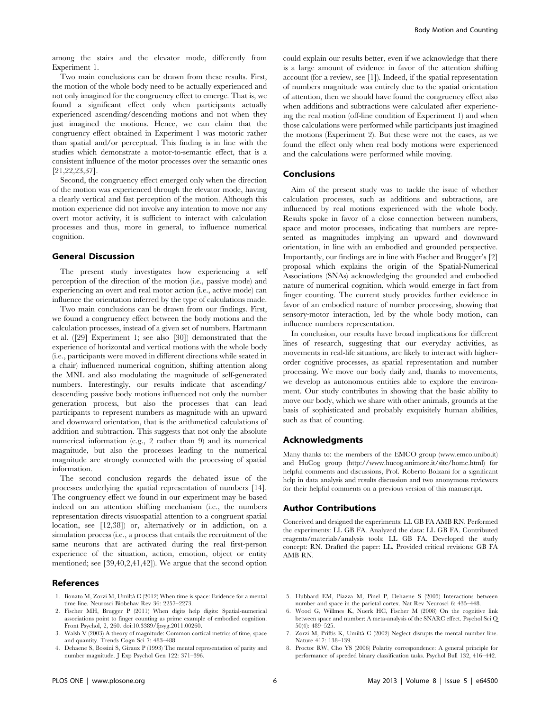among the stairs and the elevator mode, differently from Experiment 1.

Two main conclusions can be drawn from these results. First, the motion of the whole body need to be actually experienced and not only imagined for the congruency effect to emerge. That is, we found a significant effect only when participants actually experienced ascending/descending motions and not when they just imagined the motions. Hence, we can claim that the congruency effect obtained in Experiment 1 was motoric rather than spatial and/or perceptual. This finding is in line with the studies which demonstrate a motor-to-semantic effect, that is a consistent influence of the motor processes over the semantic ones [21,22,23,37].

Second, the congruency effect emerged only when the direction of the motion was experienced through the elevator mode, having a clearly vertical and fast perception of the motion. Although this motion experience did not involve any intention to move nor any overt motor activity, it is sufficient to interact with calculation processes and thus, more in general, to influence numerical cognition.

# General Discussion

The present study investigates how experiencing a self perception of the direction of the motion (i.e., passive mode) and experiencing an overt and real motor action (i.e., active mode) can influence the orientation inferred by the type of calculations made.

Two main conclusions can be drawn from our findings. First, we found a congruency effect between the body motions and the calculation processes, instead of a given set of numbers. Hartmann et al. ([29] Experiment 1; see also [30]) demonstrated that the experience of horizontal and vertical motions with the whole body (i.e., participants were moved in different directions while seated in a chair) influenced numerical cognition, shifting attention along the MNL and also modulating the magnitude of self-generated numbers. Interestingly, our results indicate that ascending/ descending passive body motions influenced not only the number generation process, but also the processes that can lead participants to represent numbers as magnitude with an upward and downward orientation, that is the arithmetical calculations of addition and subtraction. This suggests that not only the absolute numerical information (e.g., 2 rather than 9) and its numerical magnitude, but also the processes leading to the numerical magnitude are strongly connected with the processing of spatial information.

The second conclusion regards the debated issue of the processes underlying the spatial representation of numbers [14]. The congruency effect we found in our experiment may be based indeed on an attention shifting mechanism (i.e., the numbers representation directs visuospatial attention to a congruent spatial location, see [12,38]) or, alternatively or in addiction, on a simulation process (i.e., a process that entails the recruitment of the same neurons that are activated during the real first-person experience of the situation, action, emotion, object or entity mentioned; see [39,40,2,41,42]). We argue that the second option

# References

- 1. Bonato M, Zorzi M, Umiltà C (2012) When time is space: Evidence for a mental time line. Neurosci Biobehav Rev 36: 2257–2273.
- 2. Fischer MH, Brugger P (2011) When digits help digits: Spatial-numerical associations point to finger counting as prime example of embodied cognition. Front Psychol, 2, 260. doi:10.3389/fpsyg.2011.00260.
- 3. Walsh V (2003) A theory of magnitude: Common cortical metrics of time, space and quantity. Trends Cogn Sci 7: 483–488.
- 4. Dehaene S, Bossini S, Giraux P (1993) The mental representation of parity and number magnitude. J Exp Psychol Gen 122: 371–396.

could explain our results better, even if we acknowledge that there is a large amount of evidence in favor of the attention shifting account (for a review, see [1]). Indeed, if the spatial representation of numbers magnitude was entirely due to the spatial orientation of attention, then we should have found the congruency effect also when additions and subtractions were calculated after experiencing the real motion (off-line condition of Experiment 1) and when those calculations were performed while participants just imagined the motions (Experiment 2). But these were not the cases, as we found the effect only when real body motions were experienced and the calculations were performed while moving.

#### Conclusions

Aim of the present study was to tackle the issue of whether calculation processes, such as additions and subtractions, are influenced by real motions experienced with the whole body. Results spoke in favor of a close connection between numbers, space and motor processes, indicating that numbers are represented as magnitudes implying an upward and downward orientation, in line with an embodied and grounded perspective. Importantly, our findings are in line with Fischer and Brugger's [2] proposal which explains the origin of the Spatial-Numerical Associations (SNAs) acknowledging the grounded and embodied nature of numerical cognition, which would emerge in fact from finger counting. The current study provides further evidence in favor of an embodied nature of number processing, showing that sensory-motor interaction, led by the whole body motion, can influence numbers representation.

In conclusion, our results have broad implications for different lines of research, suggesting that our everyday activities, as movements in real-life situations, are likely to interact with higherorder cognitive processes, as spatial representation and number processing. We move our body daily and, thanks to movements, we develop as autonomous entities able to explore the environment. Our study contributes in showing that the basic ability to move our body, which we share with other animals, grounds at the basis of sophisticated and probably exquisitely human abilities, such as that of counting.

# Acknowledgments

Many thanks to: the members of the EMCO group (www.emco.unibo.it) and HuCog group (http://www.hucog.unimore.it/site/home.html) for helpful comments and discussions, Prof. Roberto Bolzani for a significant help in data analysis and results discussion and two anonymous reviewers for their helpful comments on a previous version of this manuscript.

# Author Contributions

Conceived and designed the experiments: LL GB FA AMB RN. Performed the experiments: LL GB FA. Analyzed the data: LL GB FA. Contributed reagents/materials/analysis tools: LL GB FA. Developed the study concept: RN. Drafted the paper: LL. Provided critical revisions: GB FA AMB RN.

- 5. Hubbard EM, Piazza M, Pinel P, Dehaene S (2005) Interactions between number and space in the parietal cortex. Nat Rev Neurosci 6: 435–448.
- 6. Wood G, Willmes K, Nuerk HC, Fischer M (2008) On the cognitive link between space and number: A meta-analysis of the SNARC effect. Psychol Sci Q 50(4): 489–525.
- 7. Zorzi M, Priftis K, Umilta` C (2002) Neglect disrupts the mental number line. Nature 417: 138–139.
- 8. Proctor RW, Cho YS (2006) Polarity correspondence: A general principle for performance of speeded binary classification tasks. Psychol Bull 132, 416–442.